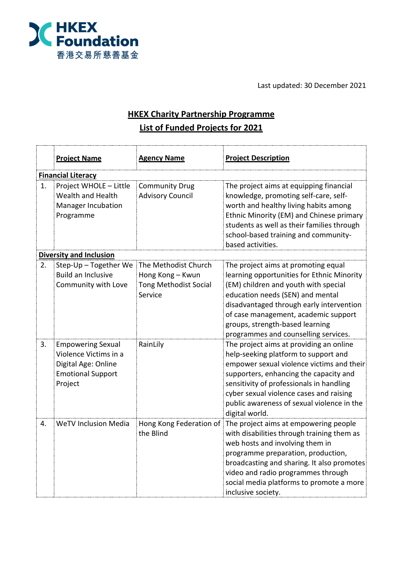

Last updated: 30 December 2021

## **HKEX Charity Partnership Programme List of Funded Projects for 2021**

|                           | <b>Project Name</b>                                                                                             | <b>Agency Name</b>                                                                  | <b>Project Description</b>                                                                                                                                                                                                                                                                                                    |  |
|---------------------------|-----------------------------------------------------------------------------------------------------------------|-------------------------------------------------------------------------------------|-------------------------------------------------------------------------------------------------------------------------------------------------------------------------------------------------------------------------------------------------------------------------------------------------------------------------------|--|
| <b>Financial Literacy</b> |                                                                                                                 |                                                                                     |                                                                                                                                                                                                                                                                                                                               |  |
| 1.                        | Project WHOLE - Little<br>Wealth and Health<br><b>Manager Incubation</b><br>Programme                           | <b>Community Drug</b><br><b>Advisory Council</b>                                    | The project aims at equipping financial<br>knowledge, promoting self-care, self-<br>worth and healthy living habits among<br>Ethnic Minority (EM) and Chinese primary<br>students as well as their families through<br>school-based training and community-<br>based activities.                                              |  |
|                           | <b>Diversity and Inclusion</b>                                                                                  |                                                                                     |                                                                                                                                                                                                                                                                                                                               |  |
| 2.                        | Step-Up - Together We<br><b>Build an Inclusive</b><br>Community with Love                                       | The Methodist Church<br>Hong Kong - Kwun<br><b>Tong Methodist Social</b><br>Service | The project aims at promoting equal<br>learning opportunities for Ethnic Minority<br>(EM) children and youth with special<br>education needs (SEN) and mental<br>disadvantaged through early intervention<br>of case management, academic support<br>groups, strength-based learning<br>programmes and counselling services.  |  |
| 3.                        | <b>Empowering Sexual</b><br>Violence Victims in a<br>Digital Age: Online<br><b>Emotional Support</b><br>Project | RainLily                                                                            | The project aims at providing an online<br>help-seeking platform to support and<br>empower sexual violence victims and their<br>supporters, enhancing the capacity and<br>sensitivity of professionals in handling<br>cyber sexual violence cases and raising<br>public awareness of sexual violence in the<br>digital world. |  |
| 4.                        | <b>WeTV Inclusion Media</b>                                                                                     | Hong Kong Federation of<br>the Blind                                                | The project aims at empowering people<br>with disabilities through training them as<br>web hosts and involving them in<br>programme preparation, production,<br>broadcasting and sharing. It also promotes<br>video and radio programmes through<br>social media platforms to promote a more<br>inclusive society.            |  |